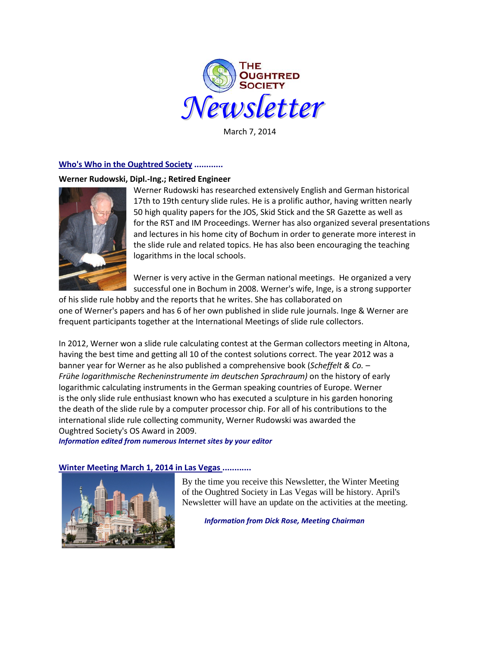

March 7, 2014

# **Who's Who in the Oughtred Society ............**

### **Werner Rudowski, Dipl.-Ing.; Retired Engineer**



Werner Rudowski has researched extensively English and German historical 17th to 19th century slide rules. He is a prolific author, having written nearly 50 high quality papers for the JOS, Skid Stick and the SR Gazette as well as for the RST and IM Proceedings. Werner has also organized several presentations and lectures in his home city of Bochum in order to generate more interest in the slide rule and related topics. He has also been encouraging the teaching logarithms in the local schools.

Werner is very active in the German national meetings. He organized a very successful one in Bochum in 2008. Werner's wife, Inge, is a strong supporter

of his slide rule hobby and the reports that he writes. She has collaborated on one of Werner's papers and has 6 of her own published in slide rule journals. Inge & Werner are frequent participants together at the International Meetings of slide rule collectors.

In 2012, Werner won a slide rule calculating contest at the German collectors meeting in Altona, having the best time and getting all 10 of the contest solutions correct. The year 2012 was a banner year for Werner as he also published a comprehensive book (*Scheffelt & Co. – Frühe logarithmische Recheninstrumente im deutschen Sprachraum)* on the history of early logarithmic calculating instruments in the German speaking countries of Europe. Werner is the only slide rule enthusiast known who has executed a sculpture in his garden honoring the death of the slide rule by a computer processor chip. For all of his contributions to the international slide rule collecting community, Werner Rudowski was awarded the Oughtred Society's OS Award in 2009.

*Information edited from numerous Internet sites by your editor*

# **Winter Meeting March 1, 2014 in Las Vegas ............**



By the time you receive this Newsletter, the Winter Meeting of the Oughtred Society in Las Vegas will be history. April's Newsletter will have an update on the activities at the meeting.

*Information from Dick Rose, Meeting Chairman*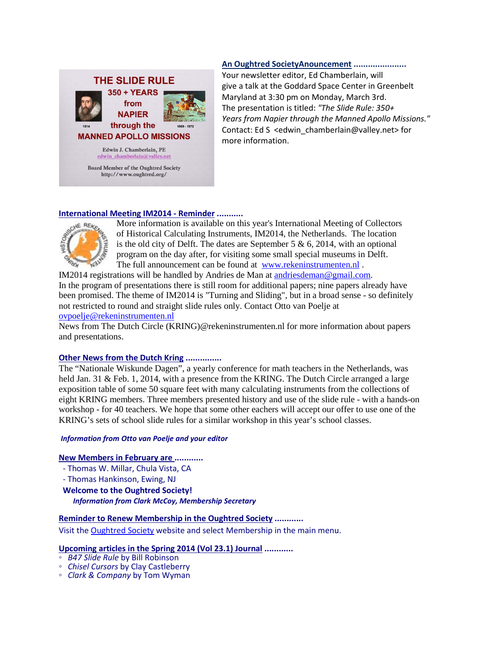

## **An Oughtred SocietyAnouncement ......................**

Your newsletter editor, Ed Chamberlain, will give a talk at the Goddard Space Center in Greenbelt Maryland at 3:30 pm on Monday, March 3rd. The presentation is titled: *"The Slide Rule: 350+ Years from Napier through the Manned Apollo Missions."*  Contact: Ed S <edwin\_chamberlain@valley.net> for more information.

### **International Meeting IM2014 - Reminder ...........**



More information is available on this year's International Meeting of Collectors of Historical Calculating Instruments, IM2014, the Netherlands. The location is the old city of Delft. The dates are September 5  $\&$  6, 2014, with an optional program on the day after, for visiting some small special museums in Delft. The full announcement can be found at [www.rekeninstrumenten.nl](http://www.rekeninstrumenten.nl/) .

IM2014 registrations will be handled by Andries de Man at [andriesdeman@gmail.com.](mailto:andriesdeman@gmail.com) In the program of presentations there is still room for additional papers; nine papers already have been promised. The theme of IM2014 is "Turning and Sliding", but in a broad sense - so definitely not restricted to round and straight slide rules only. Contact Otto van Poelje at ovpoelje@rekeninstrumenten.nl

News from The Dutch Circle (KRING)@rekeninstrumenten.nl for more information about papers and presentations.

## **Other News from the Dutch Kring ...............**

The "Nationale Wiskunde Dagen", a yearly conference for math teachers in the Netherlands, was held Jan. 31 & Feb. 1, 2014, with a presence from the KRING. The Dutch Circle arranged a large exposition table of some 50 square feet with many calculating instruments from the collections of eight KRING members. Three members presented history and use of the slide rule - with a hands-on workshop - for 40 teachers. We hope that some other eachers will accept our offer to use one of the KRING's sets of school slide rules for a similar workshop in this year's school classes.

### *Information from Otto van Poelje and your editor*

### **New Members in February are ............**

- Thomas W. Millar, Chula Vista, CA
- Thomas Hankinson, Ewing, NJ
- **Welcome to the Oughtred Society!**

*Information from Clark McCoy, Membership Secretary*

### **Reminder to Renew Membership in the Oughtred Society ............**

Visit the [Oughtred Society](http://www.oughtred.org/) website and select Membership in the main menu.

# **Upcoming articles in the Spring 2014 (Vol 23.1) Journal ............**<br> **• B47 Slide Rule by Bill Robinson**

- 
- *Chisel Cursors* by Clay Castleberry **○** *Clark & Company* by Tom Wyman
-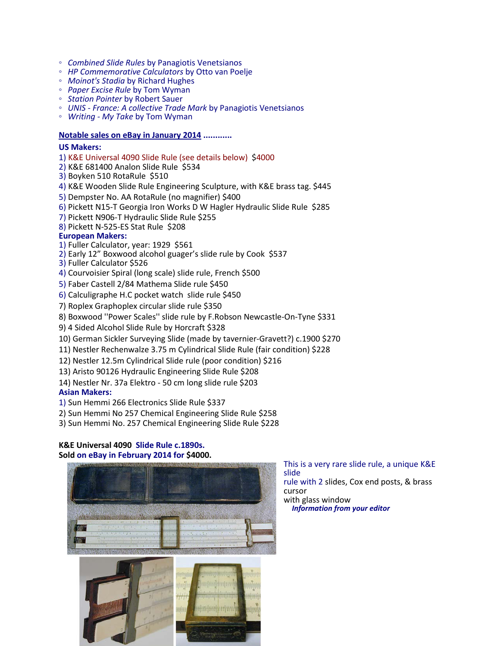- 
- *Combined Slide Rules* by Panagiotis Venetsianos *HP Commemorative Calculators* by Otto van Poelje *Moinot's Stadia* by Richard Hughes
- 
- *Paper Excise Rule* by Tom Wyman
- 
- *Station Pointer* by Robert Sauer *UNIS - France: A collective Trade Mark* by Panagiotis Venetsianos *Writing - My Take* by Tom Wyman
- 

## **Notable sales on eBay in January 2014 ............**

### **US Makers:**

- 1) K&E Universal 4090 Slide Rule (see details below) \$4000
- 2) K&E 681400 Analon Slide Rule \$534
- 3) Boyken 510 RotaRule \$510
- 4) K&E Wooden Slide Rule Engineering Sculpture, with K&E brass tag. \$445
- 5) Dempster No. AA RotaRule (no magnifier) \$400
- 6) Pickett N15-T Georgia Iron Works D W Hagler Hydraulic Slide Rule \$285
- 7) Pickett N906-T Hydraulic Slide Rule \$255
- 8) Pickett N-525-ES Stat Rule \$208

### **European Makers:**

- 1) Fuller Calculator, year: 1929 \$561
- 2) Early 12" Boxwood alcohol guager's slide rule by Cook \$537 3) Fuller Calculator \$526
- 
- 4) Courvoisier Spiral (long scale) slide rule, French \$500
- 5) Faber Castell 2/84 Mathema Slide rule \$450
- 6) Calculigraphe H.C pocket watch slide rule \$450
- 7) Roplex Graphoplex circular slide rule \$350
- 8) Boxwood ''Power Scales'' slide rule by F.Robson Newcastle-On-Tyne \$331
- 9) 4 Sided Alcohol Slide Rule by Horcraft \$328
- 10) German Sickler Surveying Slide (made by tavernier-Gravett?) c.1900 \$270
- 11) Nestler Rechenwalze 3.75 m Cylindrical Slide Rule (fair condition) \$228
- 12) Nestler 12.5m Cylindrical Slide rule (poor condition) \$216
- 13) Aristo 90126 Hydraulic Engineering Slide Rule \$208
- 14) Nestler Nr. 37a Elektro 50 cm long slide rule \$203

## **Asian Makers:**

- 1) Sun Hemmi 266 Electronics Slide Rule \$337
- 2) Sun Hemmi No 257 Chemical Engineering Slide Rule \$258
- 3) Sun Hemmi No. 257 Chemical Engineering Slide Rule \$228

### **K&E Universal 4090 Slide Rule c.1890s. Sold on eBay in February 2014 for \$4000.**



This is a very rare slide rule, a unique K&E slide rule with 2 slides, Cox end posts, & brass cursor with glass window  *Information from your editor*